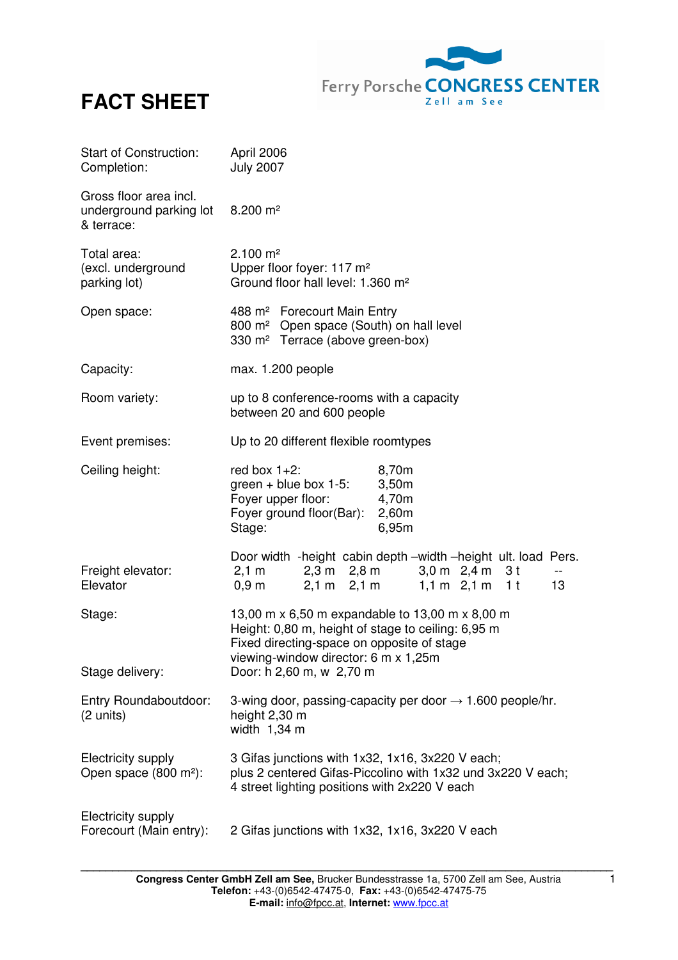



| Start of Construction:<br>Completion:                           | April 2006<br><b>July 2007</b>                                                                                                                                                                                                |
|-----------------------------------------------------------------|-------------------------------------------------------------------------------------------------------------------------------------------------------------------------------------------------------------------------------|
| Gross floor area incl.<br>underground parking lot<br>& terrace: | $8.200 \text{ m}^2$                                                                                                                                                                                                           |
| Total area:<br>(excl. underground<br>parking lot)               | $2.100 \text{ m}^2$<br>Upper floor foyer: 117 m <sup>2</sup><br>Ground floor hall level: 1.360 m <sup>2</sup>                                                                                                                 |
| Open space:                                                     | 488 m <sup>2</sup> Forecourt Main Entry<br>800 m <sup>2</sup> Open space (South) on hall level<br>330 m <sup>2</sup> Terrace (above green-box)                                                                                |
| Capacity:                                                       | max. 1.200 people                                                                                                                                                                                                             |
| Room variety:                                                   | up to 8 conference-rooms with a capacity<br>between 20 and 600 people                                                                                                                                                         |
| Event premises:                                                 | Up to 20 different flexible roomtypes                                                                                                                                                                                         |
| Ceiling height:                                                 | red box $1+2$ :<br>8,70m<br>green + blue box $1-5$ :<br>3,50m<br>Foyer upper floor:<br>4,70m<br>Foyer ground floor(Bar):<br>2,60m<br>Stage:<br>6,95m                                                                          |
| Freight elevator:<br>Elevator                                   | Door width -height cabin depth -width -height ult. load Pers.<br>$2,3 \text{ m}$ $2,8 \text{ m}$<br>$2,1 \text{ m}$<br>3,0 m 2,4 m 3 t<br>$-$<br>$1,1 m$ 2,1 m 1t<br>$2,1 \text{ m}$ $2,1 \text{ m}$<br>$0,9 \text{ m}$<br>13 |
| Stage:<br>Stage delivery:                                       | 13,00 m x 6,50 m expandable to 13,00 m x 8,00 m<br>Height: 0,80 m, height of stage to ceiling: 6,95 m<br>Fixed directing-space on opposite of stage<br>viewing-window director: 6 m x 1,25m<br>Door: h 2,60 m, w 2,70 m       |
| Entry Roundaboutdoor:<br>$(2 \text{ units})$                    | 3-wing door, passing-capacity per door $\rightarrow$ 1.600 people/hr.<br>height 2,30 m<br>width $1,34$ m                                                                                                                      |
| Electricity supply<br>Open space (800 m <sup>2</sup> ):         | 3 Gifas junctions with 1x32, 1x16, 3x220 V each;<br>plus 2 centered Gifas-Piccolino with 1x32 und 3x220 V each;<br>4 street lighting positions with 2x220 V each                                                              |
| Electricity supply<br>Forecourt (Main entry):                   | 2 Gifas junctions with 1x32, 1x16, 3x220 V each                                                                                                                                                                               |

**\_\_\_\_\_\_\_\_\_\_\_\_\_\_\_\_\_\_\_\_\_\_\_\_\_\_\_\_\_\_\_\_\_\_\_\_\_\_\_\_\_\_\_\_\_\_\_\_\_\_\_\_\_\_\_\_\_\_\_\_\_\_\_\_\_\_\_\_\_\_\_\_\_\_\_\_\_\_\_\_\_\_\_\_**